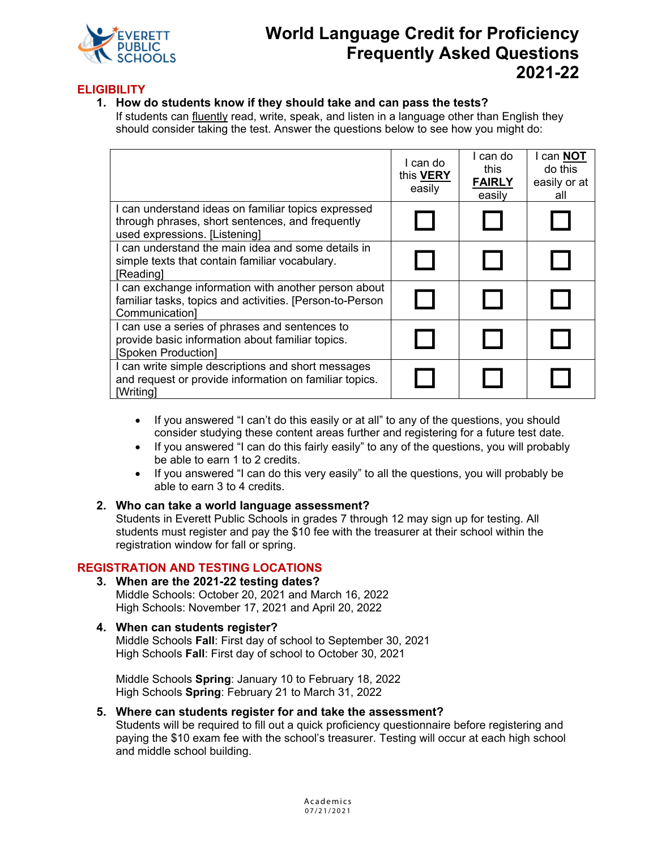

# **World Language Credit for Proficiency Frequently Asked Questions 2021-22**

## **ELIGIBILITY**

**1. How do students know if they should take and can pass the tests?** If students can fluently read, write, speak, and listen in a language other than English they should consider taking the test. Answer the questions below to see how you might do:

|                                                                                                                                          | I can do<br>this <b>VERY</b><br>easily | I can do<br>this<br><b>FAIRLY</b><br>easilv | l can <b>NOT</b><br>do this<br>easily or at<br>all |
|------------------------------------------------------------------------------------------------------------------------------------------|----------------------------------------|---------------------------------------------|----------------------------------------------------|
| I can understand ideas on familiar topics expressed<br>through phrases, short sentences, and frequently<br>used expressions. [Listening] |                                        |                                             |                                                    |
| I can understand the main idea and some details in<br>simple texts that contain familiar vocabulary.<br>[Reading]                        |                                        |                                             |                                                    |
| I can exchange information with another person about<br>familiar tasks, topics and activities. [Person-to-Person<br>Communication]       |                                        |                                             |                                                    |
| I can use a series of phrases and sentences to<br>provide basic information about familiar topics.<br>[Spoken Production]                |                                        |                                             |                                                    |
| I can write simple descriptions and short messages<br>and request or provide information on familiar topics.<br>[Writing]                |                                        |                                             |                                                    |

- If you answered "I can't do this easily or at all" to any of the questions, you should consider studying these content areas further and registering for a future test date.
- If you answered "I can do this fairly easily" to any of the questions, you will probably be able to earn 1 to 2 credits.
- If you answered "I can do this very easily" to all the questions, you will probably be able to earn 3 to 4 credits.

#### **2. Who can take a world language assessment?**

Students in Everett Public Schools in grades 7 through 12 may sign up for testing. All students must register and pay the \$10 fee with the treasurer at their school within the registration window for fall or spring.

# **REGISTRATION AND TESTING LOCATIONS**

**3. When are the 2021-22 testing dates?** Middle Schools: October 20, 2021 and March 16, 2022 High Schools: November 17, 2021 and April 20, 2022

#### **4. When can students register?**

Middle Schools **Fall**: First day of school to September 30, 2021 High Schools **Fall**: First day of school to October 30, 2021

Middle Schools **Spring**: January 10 to February 18, 2022 High Schools **Spring**: February 21 to March 31, 2022

#### **5. Where can students register for and take the assessment?**

Students will be required to fill out a quick proficiency questionnaire before registering and paying the \$10 exam fee with the school's treasurer. Testing will occur at each high school and middle school building.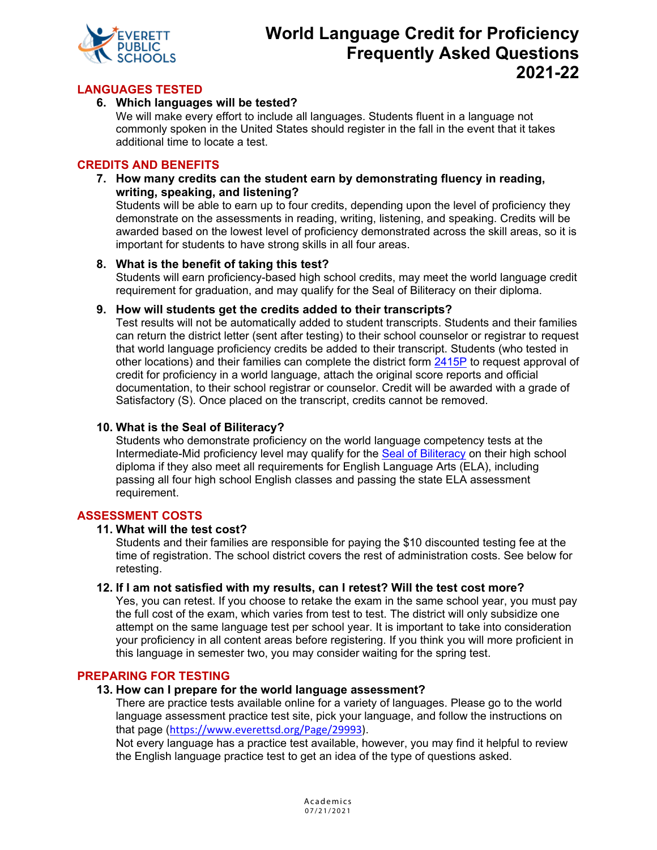

# **World Language Credit for Proficiency Frequently Asked Questions 2021-22**

## **LANGUAGES TESTED**

#### **6. Which languages will be tested?**

We will make every effort to include all languages. Students fluent in a language not commonly spoken in the United States should register in the fall in the event that it takes additional time to locate a test.

#### **CREDITS AND BENEFITS**

**7. How many credits can the student earn by demonstrating fluency in reading, writing, speaking, and listening?** 

Students will be able to earn up to four credits, depending upon the level of proficiency they demonstrate on the assessments in reading, writing, listening, and speaking. Credits will be awarded based on the lowest level of proficiency demonstrated across the skill areas, so it is important for students to have strong skills in all four areas.

#### **8. What is the benefit of taking this test?**

Students will earn proficiency-based high school credits, may meet the world language credit requirement for graduation, and may qualify for the Seal of Biliteracy on their diploma.

#### **9. How will students get the credits added to their transcripts?**

Test results will not be automatically added to student transcripts. Students and their families can return the district letter (sent after testing) to their school counselor or registrar to request that world language proficiency credits be added to their transcript. Students (who tested in other locations) and their families can complete the district form [2415P](http://docushare.everett.k12.wa.us/docushare/dsweb/Get/Document-73105/2415P%20FORM%20World%20Language%20Credit%20for%20Proficiency.pdf) to request approval of credit for proficiency in a world language, attach the original score reports and official documentation, to their school registrar or counselor. Credit will be awarded with a grade of Satisfactory (S). Once placed on the transcript, credits cannot be removed.

#### **10. What is the Seal of Biliteracy?**

Students who demonstrate proficiency on the world language competency tests at the Intermediate-Mid proficiency level may qualify for the [Seal of Biliteracy](http://www.k12.wa.us/WorldLanguages/SealofBiliteracy.aspx) on their high school diploma if they also meet all requirements for English Language Arts (ELA), including passing all four high school English classes and passing the state ELA assessment requirement.

#### **ASSESSMENT COSTS**

#### **11. What will the test cost?**

Students and their families are responsible for paying the \$10 discounted testing fee at the time of registration. The school district covers the rest of administration costs. See below for retesting.

#### **12. If I am not satisfied with my results, can I retest? Will the test cost more?**

Yes, you can retest. If you choose to retake the exam in the same school year, you must pay the full cost of the exam, which varies from test to test. The district will only subsidize one attempt on the same language test per school year. It is important to take into consideration your proficiency in all content areas before registering. If you think you will more proficient in this language in semester two, you may consider waiting for the spring test.

#### **PREPARING FOR TESTING**

#### **13. How can I prepare for the world language assessment?**

There are practice tests available online for a variety of languages. Please go to the world language assessment practice test site, pick your language, and follow the instructions on that page ([https://www.everettsd.org/Page/29993\)](https://www.everettsd.org/Page/29993).

Not every language has a practice test available, however, you may find it helpful to review the English language practice test to get an idea of the type of questions asked.